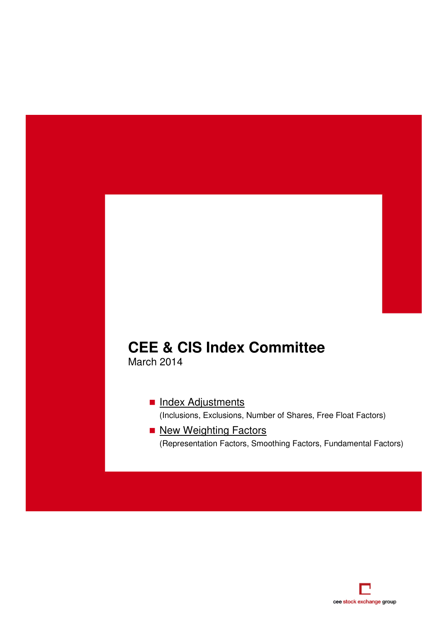# **CEE & CIS Index Committee**

March 2014

Index Adjustments (Inclusions, Exclusions, Number of Shares, Free Float Factors)

New Weighting Factors (Representation Factors, Smoothing Factors, Fundamental Factors)

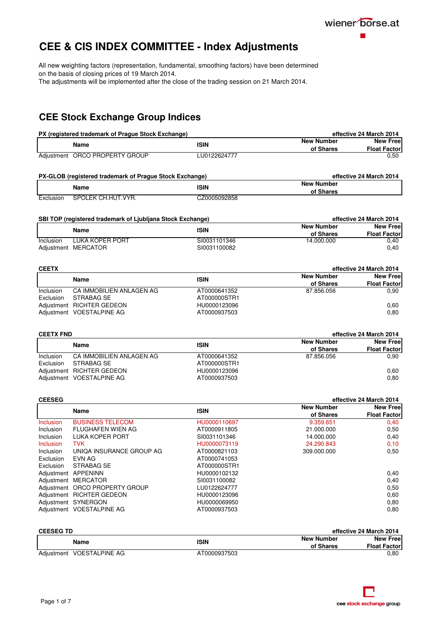

## <span id="page-1-0"></span>**CEE & CIS INDEX COMMITTEE - Index Adjustments**

All new weighting factors (representation, fundamental, smoothing factors) have been determined on the basis of closing prices of 19 March 2014.

The adjustments will be implemented after the close of the trading session on 21 March 2014.

### **CEE Stock Exchange Group Indices**

| PX (registered trademark of Prague Stock Exchange) |                                |              | effective 24 March 2014 |                     |
|----------------------------------------------------|--------------------------------|--------------|-------------------------|---------------------|
| Name                                               |                                | <b>ISIN</b>  | <b>New Number</b>       | <b>New Free</b>     |
|                                                    |                                |              | of Shares               | <b>Float Factor</b> |
|                                                    | Adjustment ORCO PROPERTY GROUP | LU0122624777 |                         | 0.50                |

| PX-GLOB (registered trademark of Prague Stock Exchange) |                    | effective 24 March 2014 |                                |
|---------------------------------------------------------|--------------------|-------------------------|--------------------------------|
|                                                         | Name               | <b>ISIN</b>             | <b>New Number</b><br>of Shares |
| Exclusion                                               | SPOLEK CH.HUT.VYR. | CZ0005092858            |                                |

| SBI TOP (registered trademark of Ljubljana Stock Exchange) |                     |                   | effective 24 March 2014 |                     |
|------------------------------------------------------------|---------------------|-------------------|-------------------------|---------------------|
| Name                                                       | <b>ISIN</b>         | <b>New Number</b> | <b>New Free</b>         |                     |
|                                                            |                     |                   | of Shares               | <b>Float Factor</b> |
| Inclusion                                                  | LUKA KOPER PORT     | SI0031101346      | 14.000.000              | 0.40                |
|                                                            | Adjustment MERCATOR | SI0031100082      |                         | 0.40                |

| <b>CEETX</b> |                           |              | effective 24 March 2014 |                     |
|--------------|---------------------------|--------------|-------------------------|---------------------|
|              | Name                      | <b>ISIN</b>  | <b>New Number</b>       | <b>New Free</b>     |
|              |                           |              | of Shares               | <b>Float Factor</b> |
| Inclusion    | CA IMMOBILIEN ANLAGEN AG  | AT0000641352 | 87.856.056              | 0.90                |
| Exclusion    | STRABAG SE                | AT000000STR1 |                         |                     |
|              | Adjustment RICHTER GEDEON | HU0000123096 |                         | 0.60                |
|              | Adjustment VOESTALPINE AG | AT0000937503 |                         | 0,80                |

| <b>CEETX FND</b> |                           |              | effective 24 March 2014        |                                        |
|------------------|---------------------------|--------------|--------------------------------|----------------------------------------|
|                  | Name                      | <b>ISIN</b>  | <b>New Number</b><br>of Shares | <b>New Free</b><br><b>Float Factor</b> |
| Inclusion        | CA IMMOBILIEN ANLAGEN AG  | AT0000641352 | 87.856.056                     | 0.90                                   |
| Exclusion        | STRABAG SE                | AT000000STR1 |                                |                                        |
|                  | Adjustment RICHTER GEDEON | HU0000123096 |                                | 0.60                                   |
|                  | Adjustment VOESTALPINE AG | AT0000937503 |                                | 0.80                                   |

| <b>CEESEG</b>    |                                |              | effective 24 March 2014 |                     |
|------------------|--------------------------------|--------------|-------------------------|---------------------|
|                  | Name                           | <b>ISIN</b>  | <b>New Number</b>       | <b>New Free</b>     |
|                  |                                |              | of Shares               | <b>Float Factor</b> |
| <b>Inclusion</b> | <b>BUSINESS TELECOM</b>        | HU0000110697 | 9.359.651               | 0,40                |
| <b>Inclusion</b> | FLUGHAFEN WIEN AG              | AT0000911805 | 21.000.000              | 0,50                |
| <b>Inclusion</b> | LUKA KOPER PORT                | SI0031101346 | 14.000.000              | 0,40                |
| <b>Inclusion</b> | <b>TVK</b>                     | HU0000073119 | 24.290.843              | 0, 10               |
| Inclusion        | UNIQA INSURANCE GROUP AG       | AT0000821103 | 309.000.000             | 0,50                |
| Exclusion        | EVN AG                         | AT0000741053 |                         |                     |
| Exclusion        | STRABAG SE                     | AT000000STR1 |                         |                     |
|                  | Adjustment APPENINN            | HU0000102132 |                         | 0,40                |
|                  | Adjustment MERCATOR            | SI0031100082 |                         | 0,40                |
|                  | Adjustment ORCO PROPERTY GROUP | LU0122624777 |                         | 0,50                |
|                  | Adjustment RICHTER GEDEON      | HU0000123096 |                         | 0,60                |
|                  | Adjustment SYNERGON            | HU0000069950 |                         | 0,80                |
|                  | Adjustment VOESTALPINE AG      | AT0000937503 |                         | 0.80                |

| <b>CEESEG TD</b>          |  |              | effective 24 March 2014        |                                        |
|---------------------------|--|--------------|--------------------------------|----------------------------------------|
| Name                      |  | <b>ISIN</b>  | <b>New Number</b><br>of Shares | <b>New Free</b><br><b>Float Factor</b> |
|                           |  |              |                                |                                        |
| Adjustment VOESTALPINE AG |  | AT0000937503 |                                | 0.80                                   |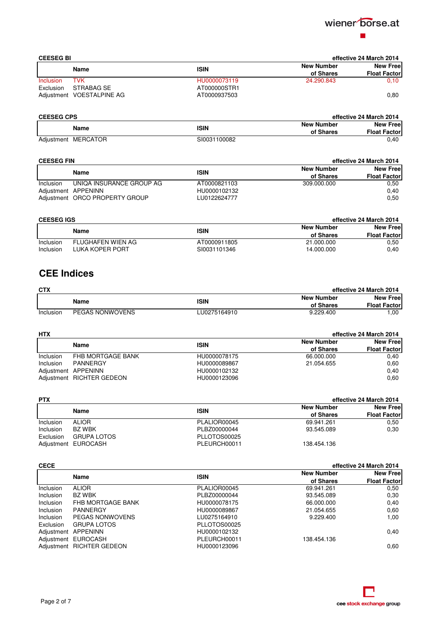

| <b>CEESEG BI</b> |                           | effective 24 March 2014 |                   |                     |
|------------------|---------------------------|-------------------------|-------------------|---------------------|
|                  | Name                      | <b>ISIN</b>             | <b>New Number</b> | <b>New Free</b>     |
|                  |                           |                         | of Shares         | <b>Float Factor</b> |
| Inclusion        | <b>TVK</b>                | HU0000073119            | 24.290.843        | 0.10                |
| Exclusion        | STRABAG SE                | AT000000STR1            |                   |                     |
|                  | Adjustment VOESTALPINE AG | AT0000937503            |                   | 0,80                |

| <b>CEESEG CPS</b> |                     |                                  | effective 24 March 2014 |
|-------------------|---------------------|----------------------------------|-------------------------|
|                   | Name                | <b>New Number</b><br><b>ISIN</b> | <b>New Free</b>         |
|                   |                     | of Shares                        | <b>Float Factor</b>     |
|                   | Adjustment MERCATOR | SI0031100082                     | 0.40                    |

| <b>CEESEG FIN</b> |                                |              | effective 24 March 2014 |                     |
|-------------------|--------------------------------|--------------|-------------------------|---------------------|
|                   | Name                           | <b>ISIN</b>  |                         | <b>New Free</b>     |
|                   |                                |              | of Shares               | <b>Float Factor</b> |
| Inclusion         | UNIQA INSURANCE GROUP AG       | AT0000821103 | 309.000.000             | 0.50                |
|                   | Adjustment APPENINN            | HU0000102132 |                         | 0.40                |
|                   | Adjustment ORCO PROPERTY GROUP | LU0122624777 |                         | 0.50                |

|           | <b>CEESEG IGS</b> |              | effective 24 March 2014 |                     |
|-----------|-------------------|--------------|-------------------------|---------------------|
|           | Name              | <b>ISIN</b>  | <b>New Number</b>       | <b>New Free</b>     |
|           |                   |              | of Shares               | <b>Float Factor</b> |
| Inclusion | FLUGHAFEN WIEN AG | AT0000911805 | 21.000.000              | 0,50                |
| Inclusion | LUKA KOPER PORT   | SI0031101346 | 14.000.000              | 0.40                |

## **CEE Indices**

| <b>CTX</b> |                 |              | effective 24 March 2014 |                 |
|------------|-----------------|--------------|-------------------------|-----------------|
|            | <b>Name</b>     | ISIN         | <b>New Number</b>       | <b>New Free</b> |
|            |                 | of Shares    | <b>Float Factor</b>     |                 |
| Inclusion  | PEGAS NONWOVENS | LU0275164910 | 9.229.400               | .00             |

| <b>HTX</b> |                           |              | effective 24 March 2014 |                     |
|------------|---------------------------|--------------|-------------------------|---------------------|
|            | <b>ISIN</b><br>Name       |              | <b>New Number</b>       | <b>New Free</b>     |
|            |                           |              | of Shares               | <b>Float Factor</b> |
| Inclusion  | FHB MORTGAGE BANK         | HU0000078175 | 66.000.000              | 0.40                |
| Inclusion  | PANNERGY                  | HU0000089867 | 21.054.655              | 0.60                |
|            | Adjustment APPENINN       | HU0000102132 |                         | 0.40                |
|            | Adjustment RICHTER GEDEON | HU0000123096 |                         | 0.60                |

| <b>PTX</b> |                     |              | effective 24 March 2014 |                     |
|------------|---------------------|--------------|-------------------------|---------------------|
|            |                     | <b>ISIN</b>  | <b>New Number</b>       | <b>New Free</b>     |
|            | Name                |              | of Shares               | <b>Float Factor</b> |
| Inclusion  | <b>ALIOR</b>        | PLALIOR00045 | 69.941.261              | 0.50                |
| Inclusion  | BZ WBK              | PLBZ00000044 | 93.545.089              | 0.30                |
| Exclusion  | <b>GRUPA LOTOS</b>  | PLLOTOS00025 |                         |                     |
|            | Adjustment EUROCASH | PLEURCH00011 | 138.454.136             |                     |

| <b>CECE</b>      |                           | effective 24 March 2014 |                   |                     |
|------------------|---------------------------|-------------------------|-------------------|---------------------|
|                  |                           | <b>ISIN</b>             | <b>New Number</b> | <b>New Free</b>     |
|                  | Name                      |                         | of Shares         | <b>Float Factor</b> |
| Inclusion        | <b>ALIOR</b>              | PLALIOR00045            | 69.941.261        | 0.50                |
| <b>Inclusion</b> | BZ WBK                    | PLBZ00000044            | 93.545.089        | 0,30                |
| Inclusion        | FHB MORTGAGE BANK         | HU0000078175            | 66.000.000        | 0,40                |
| <b>Inclusion</b> | PANNERGY                  | HU0000089867            | 21.054.655        | 0.60                |
| Inclusion        | <b>PEGAS NONWOVENS</b>    | LU0275164910            | 9.229.400         | 1,00                |
| Exclusion        | <b>GRUPA LOTOS</b>        | PLLOTOS00025            |                   |                     |
|                  | Adjustment APPENINN       | HU0000102132            |                   | 0,40                |
|                  | Adjustment EUROCASH       | PLEURCH00011            | 138.454.136       |                     |
|                  | Adjustment RICHTER GEDEON | HU0000123096            |                   | 0.60                |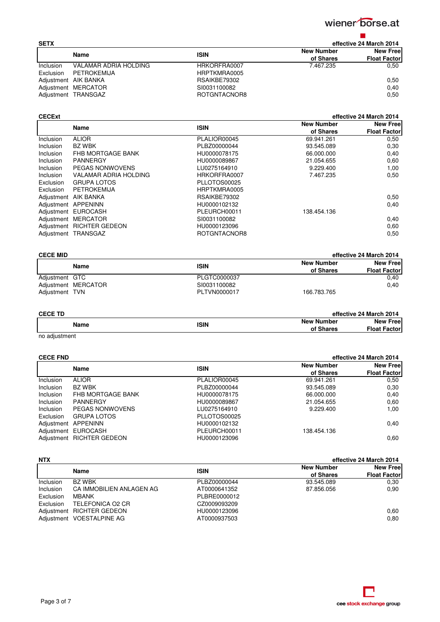

| <b>SETX</b>      |                       |              |                   | effective 24 March 2014 |
|------------------|-----------------------|--------------|-------------------|-------------------------|
|                  | <b>ISIN</b><br>Name   |              | <b>New Number</b> | <b>New Free</b>         |
|                  |                       |              | of Shares         | <b>Float Factor</b>     |
| <b>Inclusion</b> | VALAMAR ADRIA HOLDING | HRKORFRA0007 | 7.467.235         | 0.50                    |
| Exclusion        | PETROKEMIJA           | HRPTKMRA0005 |                   |                         |
|                  | Adjustment AIK BANKA  | RSAIKBE79302 |                   | 0.50                    |
|                  | Adjustment MERCATOR   | SI0031100082 |                   | 0.40                    |
|                  | Adjustment TRANSGAZ   | ROTGNTACNOR8 |                   | 0,50                    |

### **CECExt effective 24 March 2014**

|                  | Name                      | <b>ISIN</b>  | <b>New Number</b> | <b>New Free</b>     |
|------------------|---------------------------|--------------|-------------------|---------------------|
|                  |                           |              | of Shares         | <b>Float Factor</b> |
| Inclusion        | <b>ALIOR</b>              | PLALIOR00045 | 69.941.261        | 0,50                |
| Inclusion        | <b>BZ WBK</b>             | PLBZ00000044 | 93.545.089        | 0,30                |
| <b>Inclusion</b> | FHB MORTGAGE BANK         | HU0000078175 | 66.000.000        | 0,40                |
| <b>Inclusion</b> | PANNERGY                  | HU0000089867 | 21.054.655        | 0,60                |
| <b>Inclusion</b> | <b>PEGAS NONWOVENS</b>    | LU0275164910 | 9.229.400         | 1,00                |
| <b>Inclusion</b> | VALAMAR ADRIA HOLDING     | HRKORFRA0007 | 7.467.235         | 0,50                |
| Exclusion        | <b>GRUPA LOTOS</b>        | PLLOTOS00025 |                   |                     |
| Exclusion        | PETROKEMIJA               | HRPTKMRA0005 |                   |                     |
|                  | Adjustment AIK BANKA      | RSAIKBE79302 |                   | 0,50                |
|                  | Adjustment APPENINN       | HU0000102132 |                   | 0,40                |
|                  | Adjustment EUROCASH       | PLEURCH00011 | 138.454.136       |                     |
|                  | Adjustment MERCATOR       | SI0031100082 |                   | 0,40                |
|                  | Adjustment RICHTER GEDEON | HU0000123096 |                   | 0,60                |
| Adjustment       | <b>TRANSGAZ</b>           | ROTGNTACNOR8 |                   | 0,50                |

| <b>CECE MID</b> |                     |                   | effective 24 March 2014 |                 |
|-----------------|---------------------|-------------------|-------------------------|-----------------|
|                 |                     | <b>New Number</b> |                         | <b>New Free</b> |
| Name            | <b>ISIN</b>         | of Shares         | <b>Float Factor</b>     |                 |
| Adjustment GTC  |                     | PLGTC0000037      |                         | 0.40            |
|                 | Adjustment MERCATOR | SI0031100082      |                         | 0.40            |
| Adjustment TVN  |                     | PLTVN0000017      | 166.783.765             |                 |

### **CECE TD effective 24 March 2014 Name ISIN**<br>**ISIN ISIN New Number New Number of Shares New Free Float Factor**

no adjustment

| <b>CECE FND</b>  |                           |              |                   | effective 24 March 2014 |
|------------------|---------------------------|--------------|-------------------|-------------------------|
|                  | Name                      | <b>ISIN</b>  | <b>New Number</b> | <b>New Free</b>         |
|                  |                           |              | of Shares         | <b>Float Factor</b>     |
| <b>Inclusion</b> | <b>ALIOR</b>              | PLALIOR00045 | 69.941.261        | 0,50                    |
| Inclusion        | BZ WBK                    | PLBZ00000044 | 93.545.089        | 0,30                    |
| Inclusion        | FHB MORTGAGE BANK         | HU0000078175 | 66.000.000        | 0,40                    |
| <b>Inclusion</b> | <b>PANNERGY</b>           | HU0000089867 | 21.054.655        | 0.60                    |
| <b>Inclusion</b> | <b>PEGAS NONWOVENS</b>    | LU0275164910 | 9.229.400         | 1,00                    |
| Exclusion        | <b>GRUPA LOTOS</b>        | PLLOTOS00025 |                   |                         |
|                  | Adjustment APPENINN       | HU0000102132 |                   | 0,40                    |
|                  | Adjustment EUROCASH       | PLEURCH00011 | 138.454.136       |                         |
|                  | Adiustment RICHTER GEDEON | HU0000123096 |                   | 0.60                    |

| <b>NTX</b>       |                           |              |                                | effective 24 March 2014                |
|------------------|---------------------------|--------------|--------------------------------|----------------------------------------|
|                  | Name                      | <b>ISIN</b>  | <b>New Number</b><br>of Shares | <b>New Free</b><br><b>Float Factor</b> |
| <b>Inclusion</b> | BZ WBK                    | PLBZ00000044 | 93.545.089                     | 0.30                                   |
| Inclusion        | CA IMMOBILIEN ANLAGEN AG  | AT0000641352 | 87.856.056                     | 0.90                                   |
| Exclusion        | <b>MBANK</b>              | PLBRE0000012 |                                |                                        |
| Exclusion        | TELEFONICA O2 CR          | CZ0009093209 |                                |                                        |
|                  | Adjustment RICHTER GEDEON | HU0000123096 |                                | 0.60                                   |
|                  | Adjustment VOESTALPINE AG | AT0000937503 |                                | 0,80                                   |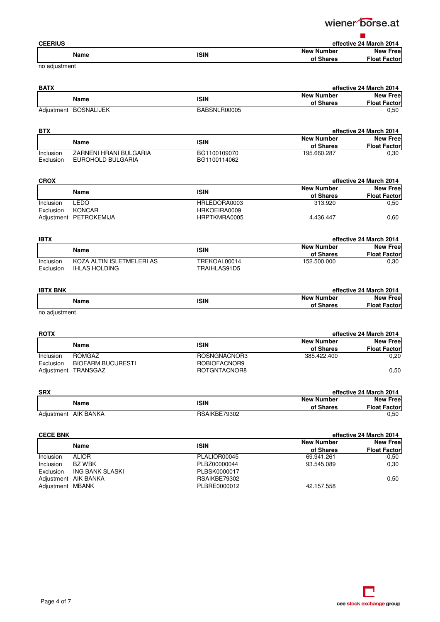wiener borse.at  $\blacksquare$ 

| <b>CEERIUS</b> |             |                   | effective 24 March 2014 |
|----------------|-------------|-------------------|-------------------------|
| Name           | <b>ISIN</b> | <b>New Number</b> | <b>New Free</b>         |
|                |             | of Shares         | <b>Float Factor</b>     |

no adjustment

| <b>BATX</b> |                       |              | effective 24 March 2014 |                     |
|-------------|-----------------------|--------------|-------------------------|---------------------|
|             | Name                  | <b>ISIN</b>  | <b>New Number</b>       | <b>New Free</b>     |
|             |                       |              | of Shares               | <b>Float Factor</b> |
|             | Adiustment BOSNALIJEK | BABSNLR00005 |                         | 0.50                |

| <b>BTX</b> |                        |              |                   | effective 24 March 2014 |  |
|------------|------------------------|--------------|-------------------|-------------------------|--|
|            | Name                   | <b>ISIN</b>  | <b>New Number</b> | <b>New Free</b>         |  |
|            |                        |              | of Shares         | <b>Float Factorl</b>    |  |
| Inclusion  | ZARNENI HRANI BULGARIA | BG1100109070 | 195.660.287       | 0.30                    |  |
| Exclusion  | EUROHOLD BULGARIA      | BG1100114062 |                   |                         |  |

| <b>CROX</b> |                        |              | effective 24 March 2014              |                     |
|-------------|------------------------|--------------|--------------------------------------|---------------------|
| Name        |                        | <b>ISIN</b>  | <b>New Number</b><br><b>New Free</b> |                     |
|             |                        |              | of Shares                            | <b>Float Factor</b> |
| Inclusion   | ∟EDO                   | HRLEDORA0003 | 313.920                              | 0.50                |
| Exclusion   | KONCAR                 | HRKOEIRA0009 |                                      |                     |
|             | Adjustment PETROKEMIJA | HRPTKMRA0005 | 4.436.447                            | 0.60                |

| <b>IBTX</b> |                           |              | effective 24 March 2014 |                     |
|-------------|---------------------------|--------------|-------------------------|---------------------|
|             | Name                      | <b>ISIN</b>  | <b>New Number</b>       | <b>New Free</b>     |
|             |                           |              | of Shares               | <b>Float Factor</b> |
| Inclusion   | KOZA ALTIN ISLETMELERI AS | TREKOAL00014 | 152.500.000             | 0.30                |
| Exclusion   | IHLAS HOLDING             | TRAIHLAS91D5 |                         |                     |

| <b>IBTX BNK</b>                          |             |                   | effective 24 March 2014 |
|------------------------------------------|-------------|-------------------|-------------------------|
| Name                                     | <b>ISIN</b> | <b>New Number</b> | <b>New Free</b>         |
|                                          |             | of Shares         | <b>Float Factor</b>     |
| the control of the control of the state. |             |                   |                         |

no adjustment

| <b>ROTX</b> |                          |                   | effective 24 March 2014 |                     |
|-------------|--------------------------|-------------------|-------------------------|---------------------|
| Name        | <b>ISIN</b>              | <b>New Number</b> | <b>New Free</b>         |                     |
|             |                          |                   | of Shares               | <b>Float Factor</b> |
| Inclusion   | ROMGAZ                   | ROSNGNACNOR3      | 385.422.400             | 0,20                |
| Exclusion   | <b>BIOFARM BUCURESTI</b> | ROBIOFACNOR9      |                         |                     |
|             | Adjustment TRANSGAZ      | ROTGNTACNOR8      |                         | 0.50                |

| <b>SRX</b>           |              |                   | effective 24 March 2014 |
|----------------------|--------------|-------------------|-------------------------|
| Name                 | <b>ISIN</b>  | <b>New Number</b> | <b>New Free</b>         |
|                      |              | of Shares         | <b>Float Factor</b>     |
| Adjustment AIK BANKA | RSAIKBE79302 |                   | 0,50                    |

| <b>CECE BNK</b>  |                      |              | effective 24 March 2014 |                     |
|------------------|----------------------|--------------|-------------------------|---------------------|
|                  | Name                 | <b>ISIN</b>  | <b>New Number</b>       | <b>New Free</b>     |
|                  |                      |              | of Shares               | <b>Float Factor</b> |
| <b>Inclusion</b> | <b>ALIOR</b>         | PLALIOR00045 | 69.941.261              | 0.50                |
| Inclusion        | <b>BZ WBK</b>        | PLBZ00000044 | 93.545.089              | 0,30                |
| Exclusion        | ING BANK SLASKI      | PLBSK0000017 |                         |                     |
|                  | Adjustment AIK BANKA | RSAIKBE79302 |                         | 0.50                |
| Adjustment MBANK |                      | PLBRE0000012 | 42.157.558              |                     |

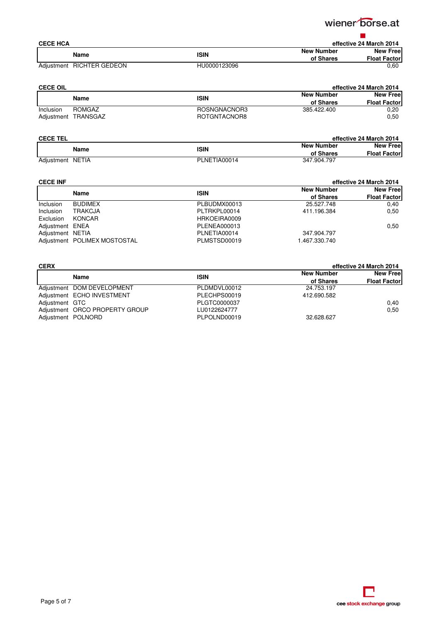

| <b>CECE HCA</b> |                           |              |                   | effective 24 March 2014 |
|-----------------|---------------------------|--------------|-------------------|-------------------------|
|                 | Name                      | ISIN         | <b>New Number</b> | <b>New Free</b>         |
|                 |                           |              | of Shares         | <b>Float Factor</b>     |
|                 | Adjustment RICHTER GEDEON | HU0000123096 |                   | 0.60                    |

| <b>CECE OIL</b> |          |              | effective 24 March 2014 |                     |
|-----------------|----------|--------------|-------------------------|---------------------|
|                 | Name     | <b>ISIN</b>  | <b>New Number</b>       | <b>New Free</b>     |
|                 |          |              | of Shares               | <b>Float Factor</b> |
| Inclusion       | ROMGAZ   | ROSNGNACNOR3 | 385.422.400             | 0.20                |
| Adjustment      | TRANSGAZ | ROTGNTACNOR8 |                         | 0,50                |

| <b>CECE TEL</b>  |              | effective 24 March 2014        |                                        |
|------------------|--------------|--------------------------------|----------------------------------------|
| Name             | <b>ISIN</b>  | <b>New Number</b><br>of Shares | <b>New Free</b><br><b>Float Factor</b> |
|                  |              |                                |                                        |
| Adjustment NETIA | PLNETIA00014 | 347.904.797                    |                                        |

| <b>CECE INF</b>  |                              |              | effective 24 March 2014        |                                        |
|------------------|------------------------------|--------------|--------------------------------|----------------------------------------|
|                  | Name                         | <b>ISIN</b>  | <b>New Number</b><br>of Shares | <b>New Free</b><br><b>Float Factor</b> |
| <b>Inclusion</b> | <b>BUDIMEX</b>               | PLBUDMX00013 | 25.527.748                     | 0.40                                   |
| Inclusion        | <b>TRAKCJA</b>               | PLTRKPL00014 | 411.196.384                    | 0.50                                   |
| Exclusion        | KONCAR                       | HRKOEIRA0009 |                                |                                        |
| Adjustment ENEA  |                              | PLENEA000013 |                                | 0.50                                   |
| Adjustment NETIA |                              | PLNETIA00014 | 347.904.797                    |                                        |
|                  | Adjustment POLIMEX MOSTOSTAL | PLMSTSD00019 | 1.467.330.740                  |                                        |

| <b>CERX</b>        |                                |              | effective 24 March 2014 |                     |
|--------------------|--------------------------------|--------------|-------------------------|---------------------|
|                    | Name                           | <b>ISIN</b>  | <b>New Number</b>       | <b>New Free</b>     |
|                    |                                |              | of Shares               | <b>Float Factor</b> |
|                    | Adjustment DOM DEVELOPMENT     | PLDMDVL00012 | 24.753.197              |                     |
|                    | Adjustment ECHO INVESTMENT     | PLECHPS00019 | 412.690.582             |                     |
| Adjustment GTC     |                                | PLGTC0000037 |                         | 0.40                |
|                    | Adjustment ORCO PROPERTY GROUP | LU0122624777 |                         | 0.50                |
| Adjustment POLNORD |                                | PLPOLND00019 | 32.628.627              |                     |

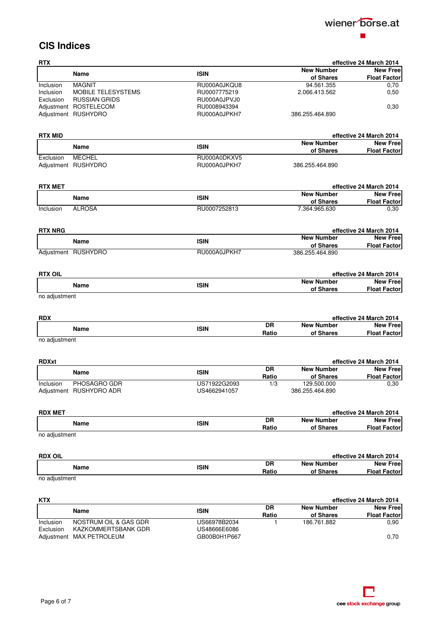

### **CIS Indices**

| <b>RTX</b>     |                         |              |              |                                | effective 24 March 2014                    |
|----------------|-------------------------|--------------|--------------|--------------------------------|--------------------------------------------|
|                | Name                    | <b>ISIN</b>  |              | <b>New Number</b><br>of Shares | <b>New Free</b><br><b>Float Factor</b>     |
| Inclusion      | <b>MAGNIT</b>           | RU000A0JKQU8 |              | 94.561.355                     | 0,70                                       |
| Inclusion      | MOBILE TELESYSTEMS      | RU0007775219 |              | 2.066.413.562                  | 0,50                                       |
| Exclusion      | <b>RUSSIAN GRIDS</b>    | RU000A0JPVJ0 |              |                                |                                            |
|                | Adjustment ROSTELECOM   | RU0008943394 |              |                                | 0,30                                       |
|                | Adjustment RUSHYDRO     | RU000A0JPKH7 |              | 386.255.464.890                |                                            |
| <b>RTX MID</b> |                         |              |              |                                | effective 24 March 2014                    |
|                |                         |              |              | <b>New Number</b>              | <b>New Free</b>                            |
|                | Name                    | <b>ISIN</b>  |              | of Shares                      | <b>Float Factor</b>                        |
| Exclusion      | <b>MECHEL</b>           | RU000A0DKXV5 |              |                                |                                            |
|                | Adjustment RUSHYDRO     | RU000A0JPKH7 |              | 386.255.464.890                |                                            |
| <b>RTX MET</b> |                         |              |              |                                | effective 24 March 2014                    |
|                |                         | <b>ISIN</b>  |              | <b>New Number</b>              | <b>New Free</b>                            |
|                | Name                    |              |              | of Shares                      | <b>Float Factor</b>                        |
| Inclusion      | <b>ALROSA</b>           | RU0007252813 |              | 7.364.965.630                  | 0,30                                       |
| <b>RTX NRG</b> |                         |              |              |                                | effective 24 March 2014                    |
|                |                         |              |              | <b>New Number</b>              | <b>New Free</b>                            |
|                | Name                    | <b>ISIN</b>  |              | of Shares                      | <b>Float Factor</b>                        |
|                | Adjustment RUSHYDRO     | RU000A0JPKH7 |              | 386.255.464.890                |                                            |
| <b>RTX OIL</b> |                         |              |              |                                | effective 24 March 2014                    |
|                |                         |              |              | <b>New Number</b>              | <b>New Free</b>                            |
|                | Name                    | <b>ISIN</b>  |              | of Shares                      | <b>Float Factor</b>                        |
| no adjustment  |                         |              |              |                                |                                            |
| <b>RDX</b>     |                         |              |              |                                | effective 24 March 2014                    |
|                | <b>Name</b>             | <b>ISIN</b>  | <b>DR</b>    | <b>New Number</b>              | <b>New Free</b>                            |
| no adjustment  |                         |              | Ratio        | of Shares                      | <b>Float Factor</b>                        |
|                |                         |              |              |                                |                                            |
| <b>RDXxt</b>   |                         |              |              |                                | effective 24 March 2014                    |
|                | Name                    | <b>ISIN</b>  | <b>DR</b>    | <b>New Number</b><br>of Shares | <b>New Free</b>                            |
| Inclusion      | PHOSAGRO GDR            | US71922G2093 | Ratio<br>1/3 | 129.500.000                    | <b>Float Factor</b><br>0,30                |
|                | Adjustment RUSHYDRO ADR | US4662941057 |              | 386.255.464.890                |                                            |
|                |                         |              |              |                                |                                            |
| <b>RDX MET</b> |                         |              | DR           | <b>New Number</b>              | effective 24 March 2014<br><b>New Free</b> |
|                | Name                    | <b>ISIN</b>  | Ratio        | of Shares                      | <b>Float Factor</b>                        |
| no adjustment  |                         |              |              |                                |                                            |
| <b>RDX OIL</b> |                         |              |              |                                | effective 24 March 2014                    |
|                | Name                    | <b>ISIN</b>  | DR           | <b>New Number</b>              | <b>New Free</b>                            |
| no adjustment  |                         |              | Ratio        | of Shares                      | <b>Float Factor</b>                        |
|                |                         |              |              |                                |                                            |
| <b>KTX</b>     |                         |              |              |                                | effective 24 March 2014                    |
|                | Name                    | <b>ISIN</b>  | <b>DR</b>    | <b>New Number</b>              | <b>New Free</b>                            |
|                |                         |              | Ratio        | of Shares                      | <b>Float Factor</b>                        |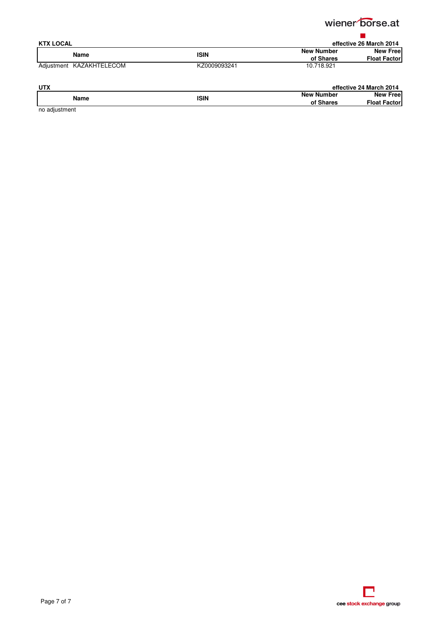

| <b>KTX LOCAL</b>         |              | effective 26 March 2014 |                     |
|--------------------------|--------------|-------------------------|---------------------|
| Name                     | <b>ISIN</b>  | <b>New Number</b>       | <b>New Free</b>     |
|                          |              | of Shares               | <b>Float Factor</b> |
| Adjustment KAZAKHTELECOM | KZ0009093241 | 10.718.921              |                     |

| <b>UTX</b>                              |      |                   | effective 24 March 2014 |
|-----------------------------------------|------|-------------------|-------------------------|
| Name                                    | ISIN | <b>New Number</b> | <b>New Free</b>         |
|                                         |      | of Shares         | <b>Float Factor</b>     |
| والمستوات والمتحاول والمراجين والمتواطن |      |                   |                         |

no adjustment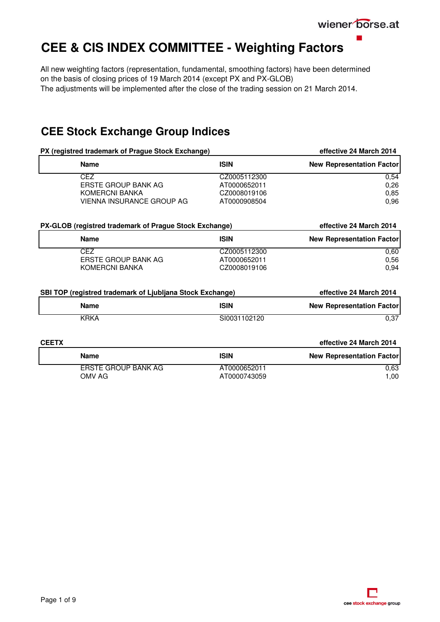wiener borse.at

## <span id="page-8-0"></span>**CEE & CIS INDEX COMMITTEE - Weighting Factors**

All new weighting factors (representation, fundamental, smoothing factors) have been determined on the basis of closing prices of 19 March 2014 (except PX and PX-GLOB) The adjustments will be implemented after the close of the trading session on 21 March 2014.

## **CEE Stock Exchange Group Indices**

|              | PX (registred trademark of Prague Stock Exchange)         |              | effective 24 March 2014          |
|--------------|-----------------------------------------------------------|--------------|----------------------------------|
|              | <b>Name</b>                                               | <b>ISIN</b>  | <b>New Representation Factor</b> |
|              | <b>CEZ</b>                                                | CZ0005112300 | 0,54                             |
|              | <b>ERSTE GROUP BANK AG</b>                                | AT0000652011 | 0,26                             |
|              | <b>KOMERCNI BANKA</b>                                     | CZ0008019106 | 0,85                             |
|              | VIENNA INSURANCE GROUP AG                                 | AT0000908504 | 0,96                             |
|              | PX-GLOB (registred trademark of Prague Stock Exchange)    |              | effective 24 March 2014          |
|              | <b>ISIN</b><br><b>Name</b>                                |              | <b>New Representation Factor</b> |
|              | <b>CEZ</b>                                                | CZ0005112300 | 0,60                             |
|              | <b>ERSTE GROUP BANK AG</b>                                | AT0000652011 | 0,56                             |
|              | <b>KOMERCNI BANKA</b>                                     | CZ0008019106 | 0,94                             |
|              | SBI TOP (registred trademark of Ljubljana Stock Exchange) |              | effective 24 March 2014          |
|              | <b>Name</b>                                               | <b>ISIN</b>  | <b>New Representation Factor</b> |
|              | <b>KRKA</b>                                               | SI0031102120 | 0,37                             |
| <b>CEETX</b> |                                                           |              | effective 24 March 2014          |
|              | <b>Name</b>                                               | <b>ISIN</b>  | <b>New Representation Factor</b> |
|              | <b>ERSTE GROUP BANK AG</b>                                | AT0000652011 | 0,63                             |
|              | OMV AG                                                    | AT0000743059 | 1,00                             |
|              |                                                           |              |                                  |

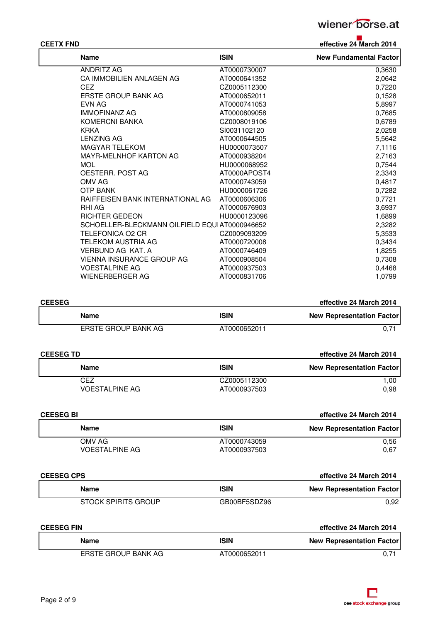

| <b>CEETX FND</b>                              |              | effective 24 March 2014       |
|-----------------------------------------------|--------------|-------------------------------|
| <b>Name</b>                                   | <b>ISIN</b>  | <b>New Fundamental Factor</b> |
| <b>ANDRITZ AG</b>                             | AT0000730007 | 0,3630                        |
| CA IMMOBILIEN ANLAGEN AG                      | AT0000641352 | 2,0642                        |
| CEZ                                           | CZ0005112300 | 0,7220                        |
| ERSTE GROUP BANK AG                           | AT0000652011 | 0,1528                        |
| <b>EVN AG</b>                                 | AT0000741053 | 5,8997                        |
| <b>IMMOFINANZ AG</b>                          | AT0000809058 | 0,7685                        |
| <b>KOMERCNI BANKA</b>                         | CZ0008019106 | 0,6789                        |
| <b>KRKA</b>                                   | SI0031102120 | 2,0258                        |
| <b>LENZING AG</b>                             | AT0000644505 | 5,5642                        |
| <b>MAGYAR TELEKOM</b>                         | HU0000073507 | 7,1116                        |
| <b>MAYR-MELNHOF KARTON AG</b>                 | AT0000938204 | 2,7163                        |
| <b>MOL</b>                                    | HU0000068952 | 0,7544                        |
| OESTERR. POST AG                              | AT0000APOST4 | 2,3343                        |
| OMV AG                                        | AT0000743059 | 0,4817                        |
| <b>OTP BANK</b>                               | HU0000061726 | 0,7282                        |
| RAIFFEISEN BANK INTERNATIONAL AG              | AT0000606306 | 0,7721                        |
| RHI AG                                        | AT0000676903 | 3,6937                        |
| <b>RICHTER GEDEON</b>                         | HU0000123096 | 1,6899                        |
| SCHOELLER-BLECKMANN OILFIELD EQUIAT0000946652 |              | 2,3282                        |
| <b>TELEFONICA O2 CR</b>                       | CZ0009093209 | 5,3533                        |
| TELEKOM AUSTRIA AG                            | AT0000720008 | 0,3434                        |
| VERBUND AG KAT. A                             | AT0000746409 | 1,8255                        |
| VIENNA INSURANCE GROUP AG                     | AT0000908504 | 0,7308                        |
| <b>VOESTALPINE AG</b>                         | AT0000937503 | 0,4468                        |
| WIENERBERGER AG                               | AT0000831706 | 1,0799                        |

| <b>CEESEG</b> |                     |              | effective 24 March 2014          |
|---------------|---------------------|--------------|----------------------------------|
|               | Name                | <b>ISIN</b>  | <b>New Representation Factor</b> |
|               | ERSTE GROUP BANK AG | AT0000652011 | 0.71                             |

| <b>CEESEG TD</b> |                                  |
|------------------|----------------------------------|
| <b>ISIN</b>      | <b>New Representation Factor</b> |
| CZ0005112300     | 1.00                             |
| AT0000937503     | 0.98                             |
|                  |                                  |

| <b>CEESEG BI</b>      |              | effective 24 March 2014          |
|-----------------------|--------------|----------------------------------|
| <b>Name</b>           | <b>ISIN</b>  | <b>New Representation Factor</b> |
| OMV AG                | AT0000743059 | 0.56                             |
| <b>VOESTALPINE AG</b> | AT0000937503 | 0.67                             |
|                       |              |                                  |

| <b>CEESEG CPS</b> |                     |              | effective 24 March 2014          |
|-------------------|---------------------|--------------|----------------------------------|
|                   | Name                | <b>ISIN</b>  | <b>New Representation Factor</b> |
|                   | STOCK SPIRITS GROUP | GB00BF5SDZ96 | 0.92                             |

| <b>CEESEG FIN</b>   |              | effective 24 March 2014          |
|---------------------|--------------|----------------------------------|
| Name                | <b>ISIN</b>  | <b>New Representation Factor</b> |
| ERSTE GROUP BANK AG | AT0000652011 |                                  |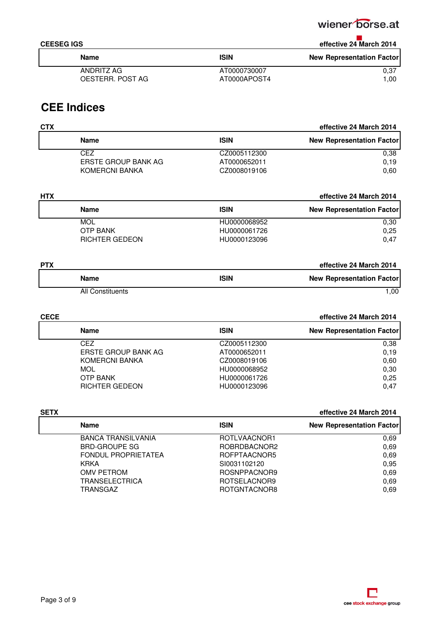### wiener borse.at

## **CEESEG IGS effective 24 March 2014**

| Name             | <b>ISIN</b>  | <b>New Representation Factor</b> |
|------------------|--------------|----------------------------------|
| ANDRITZ AG       | AT0000730007 | 0.37                             |
| OESTERR. POST AG | AT0000APOST4 | 1.00                             |
|                  |              |                                  |

## **CEE Indices**

| <b>CTX</b>          |              |                                  |
|---------------------|--------------|----------------------------------|
| <b>Name</b>         | <b>ISIN</b>  | <b>New Representation Factor</b> |
| CEZ                 | CZ0005112300 | 0.38                             |
| ERSTE GROUP BANK AG | AT0000652011 | 0.19                             |
| KOMERCNI BANKA      | CZ0008019106 | 0.60                             |

| <b>HTX</b> |                       |              | effective 24 March 2014          |
|------------|-----------------------|--------------|----------------------------------|
|            | Name                  | <b>ISIN</b>  | <b>New Representation Factor</b> |
|            | MOL                   | HU0000068952 | 0.30                             |
|            | <b>OTP BANK</b>       | HU0000061726 | 0.25                             |
|            | <b>RICHTER GEDEON</b> | HU0000123096 | 0.47                             |
|            |                       |              |                                  |

| <b>PTX</b>              |             | effective 24 March 2014          |
|-------------------------|-------------|----------------------------------|
| <b>Name</b>             | <b>ISIN</b> | <b>New Representation Factor</b> |
| <b>All Constituents</b> |             | 1.00                             |

| <b>CECE</b> |                            |              | effective 24 March 2014          |  |
|-------------|----------------------------|--------------|----------------------------------|--|
|             | <b>Name</b>                | <b>ISIN</b>  | <b>New Representation Factor</b> |  |
|             | CFZ.                       | CZ0005112300 | 0.38                             |  |
|             | <b>ERSTE GROUP BANK AG</b> | AT0000652011 | 0.19                             |  |
|             | KOMERCNI BANKA             | CZ0008019106 | 0.60                             |  |
|             | <b>MOL</b>                 | HU0000068952 | 0,30                             |  |
|             | <b>OTP BANK</b>            | HU0000061726 | 0.25                             |  |
|             | <b>RICHTER GEDEON</b>      | HU0000123096 | 0.47                             |  |

| effective 24 March 2014                         |
|-------------------------------------------------|
| <b>ISIN</b><br><b>New Representation Factor</b> |
| ROTLVAACNOR1<br>0.69                            |
| 0.69<br>ROBRDBACNOR2                            |
| 0.69<br>ROFPTAACNOR5                            |
| 0.95<br>SI0031102120                            |
| 0.69<br>ROSNPPACNOR9                            |
| 0.69<br>ROTSELACNOR9                            |
| 0.69<br>ROTGNTACNOR8                            |
|                                                 |

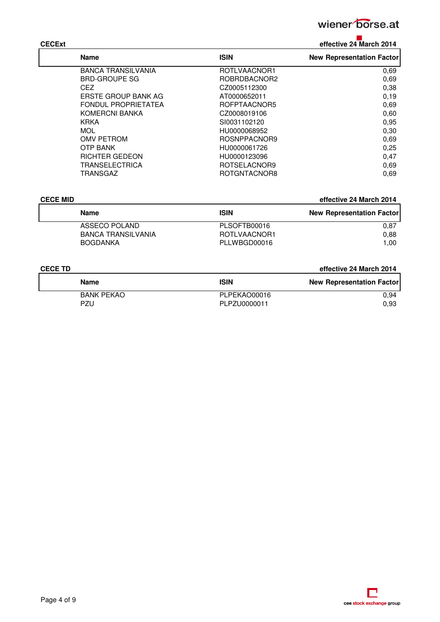

## **CECExt effective 24 March 2014**

| <b>Name</b>                | <b>ISIN</b>  | <b>New Representation Factor</b> |
|----------------------------|--------------|----------------------------------|
| <b>BANCA TRANSILVANIA</b>  | ROTLVAACNOR1 | 0,69                             |
| <b>BRD-GROUPE SG</b>       | ROBRDBACNOR2 | 0,69                             |
| <b>CEZ</b>                 | CZ0005112300 | 0,38                             |
| ERSTE GROUP BANK AG        | AT0000652011 | 0,19                             |
| <b>FONDUL PROPRIETATEA</b> | ROFPTAACNOR5 | 0,69                             |
| <b>KOMERCNI BANKA</b>      | CZ0008019106 | 0.60                             |
| <b>KRKA</b>                | SI0031102120 | 0,95                             |
| <b>MOL</b>                 | HU0000068952 | 0.30                             |
| OMV PETROM                 | ROSNPPACNOR9 | 0,69                             |
| OTP BANK                   | HU0000061726 | 0,25                             |
| <b>RICHTER GEDEON</b>      | HU0000123096 | 0,47                             |
| <b>TRANSELECTRICA</b>      | ROTSELACNOR9 | 0.69                             |
| TRANSGAZ                   | ROTGNTACNOR8 | 0.69                             |

| <b>CECE MID</b>           |              | effective 24 March 2014          |  |
|---------------------------|--------------|----------------------------------|--|
| Name                      | <b>ISIN</b>  | <b>New Representation Factor</b> |  |
| ASSECO POLAND             | PLSOFTB00016 | 0.87                             |  |
| <b>BANCA TRANSILVANIA</b> | ROTLVAACNOR1 | 0.88                             |  |
| <b>BOGDANKA</b>           | PLLWBGD00016 | 1.00                             |  |

### **CECE TD effective 24 March 2014**

| Name              | <b>ISIN</b>  | <b>New Representation Factor</b> |
|-------------------|--------------|----------------------------------|
| <b>BANK PEKAO</b> | PLPEKAO00016 | 0.94                             |
| PZU               | PLPZU0000011 | 0.93                             |

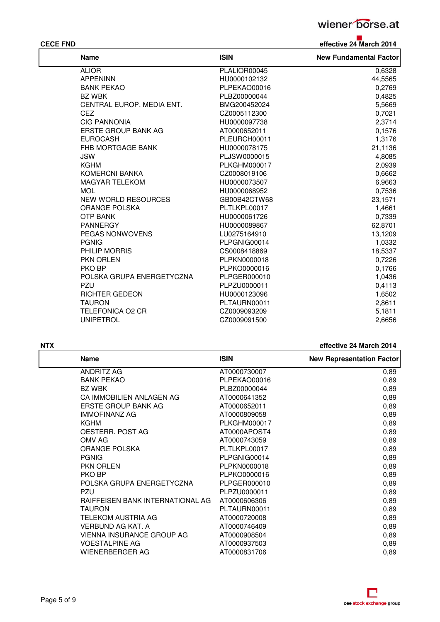

**CECE FND effective 24 March 2014**

| <b>Name</b>                | <b>ISIN</b>         | <b>New Fundamental Factor</b> |
|----------------------------|---------------------|-------------------------------|
| <b>ALIOR</b>               | PLALIOR00045        | 0,6328                        |
| <b>APPENINN</b>            | HU0000102132        | 44,5565                       |
| <b>BANK PEKAO</b>          | PLPEKAO00016        | 0,2769                        |
| BZ WBK                     | PLBZ00000044        | 0,4825                        |
| CENTRAL EUROP. MEDIA ENT.  | BMG200452024        | 5,5669                        |
| <b>CEZ</b>                 | CZ0005112300        | 0,7021                        |
| <b>CIG PANNONIA</b>        | HU0000097738        | 2,3714                        |
| <b>ERSTE GROUP BANK AG</b> | AT0000652011        | 0,1576                        |
| <b>EUROCASH</b>            | PLEURCH00011        | 1,3176                        |
| FHB MORTGAGE BANK          | HU0000078175        | 21,1136                       |
| <b>JSW</b>                 | PLJSW0000015        | 4,8085                        |
| KGHM                       | <b>PLKGHM000017</b> | 2,0939                        |
| <b>KOMERCNI BANKA</b>      | CZ0008019106        | 0,6662                        |
| <b>MAGYAR TELEKOM</b>      | HU0000073507        | 6,9663                        |
| <b>MOL</b>                 | HU0000068952        | 0,7536                        |
| <b>NEW WORLD RESOURCES</b> | GB00B42CTW68        | 23,1571                       |
| <b>ORANGE POLSKA</b>       | PLTLKPL00017        | 1,4661                        |
| <b>OTP BANK</b>            | HU0000061726        | 0,7339                        |
| <b>PANNERGY</b>            | HU0000089867        | 62,8701                       |
| PEGAS NONWOVENS            | LU0275164910        | 13,1209                       |
| <b>PGNIG</b>               | PLPGNIG00014        | 1,0332                        |
| PHILIP MORRIS              | CS0008418869        | 18,5337                       |
| <b>PKN ORLEN</b>           | PLPKN0000018        | 0,7226                        |
| PKO BP                     | PLPKO0000016        | 0,1766                        |
| POLSKA GRUPA ENERGETYCZNA  | PLPGER000010        | 1,0436                        |
| PZU                        | PLPZU0000011        | 0,4113                        |
| <b>RICHTER GEDEON</b>      | HU0000123096        | 1,6502                        |
| <b>TAURON</b>              | PLTAURN00011        | 2,8611                        |
| <b>TELEFONICA O2 CR</b>    | CZ0009093209        | 5,1811                        |
| <b>UNIPETROL</b>           | CZ0009091500        | 2,6656                        |

**ATX effective 24 March 2014** 

| <b>Name</b>                      | <b>ISIN</b>  | <b>New Representation Factor</b> |
|----------------------------------|--------------|----------------------------------|
| <b>ANDRITZ AG</b>                | AT0000730007 | 0,89                             |
| <b>BANK PEKAO</b>                | PLPEKAO00016 | 0,89                             |
| <b>BZ WBK</b>                    | PLBZ00000044 | 0,89                             |
| CA IMMOBILIEN ANLAGEN AG         | AT0000641352 | 0,89                             |
| <b>ERSTE GROUP BANK AG</b>       | AT0000652011 | 0,89                             |
| <b>IMMOFINANZ AG</b>             | AT0000809058 | 0,89                             |
| KGHM                             | PLKGHM000017 | 0,89                             |
| OESTERR. POST AG                 | AT0000APOST4 | 0,89                             |
| OMV AG                           | AT0000743059 | 0,89                             |
| <b>ORANGE POLSKA</b>             | PLTLKPL00017 | 0,89                             |
| <b>PGNIG</b>                     | PLPGNIG00014 | 0,89                             |
| <b>PKN ORLEN</b>                 | PLPKN0000018 | 0,89                             |
| PKO BP                           | PLPKO0000016 | 0,89                             |
| POLSKA GRUPA ENERGETYCZNA        | PLPGER000010 | 0,89                             |
| <b>PZU</b>                       | PLPZU0000011 | 0,89                             |
| RAIFFEISEN BANK INTERNATIONAL AG | AT0000606306 | 0,89                             |
| <b>TAURON</b>                    | PLTAURN00011 | 0,89                             |
| TELEKOM AUSTRIA AG               | AT0000720008 | 0,89                             |
| VERBUND AG KAT. A                | AT0000746409 | 0,89                             |
| <b>VIENNA INSURANCE GROUP AG</b> | AT0000908504 | 0,89                             |
| <b>VOESTALPINE AG</b>            | AT0000937503 | 0,89                             |
| WIENERBERGER AG                  | AT0000831706 | 0,89                             |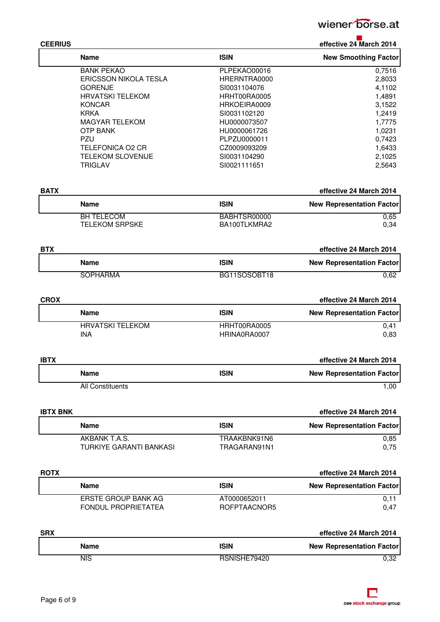

|  | <b>CEERIUS</b> |  |
|--|----------------|--|

| <b>CEERIUS</b> |                              |              | effective 24 March 2014          |
|----------------|------------------------------|--------------|----------------------------------|
|                | <b>Name</b>                  | <b>ISIN</b>  | <b>New Smoothing Factor</b>      |
|                | <b>BANK PEKAO</b>            | PLPEKAO00016 | 0,7516                           |
|                | <b>ERICSSON NIKOLA TESLA</b> | HRERNTRA0000 | 2,8033                           |
|                | <b>GORENJE</b>               | SI0031104076 | 4,1102                           |
|                | <b>HRVATSKI TELEKOM</b>      | HRHT00RA0005 | 1,4891                           |
|                | <b>KONCAR</b>                | HRKOEIRA0009 | 3,1522                           |
|                | <b>KRKA</b>                  | SI0031102120 | 1,2419                           |
|                | <b>MAGYAR TELEKOM</b>        | HU0000073507 | 1,7775                           |
|                | <b>OTP BANK</b>              | HU0000061726 | 1,0231                           |
|                | <b>PZU</b>                   | PLPZU0000011 | 0,7423                           |
|                | <b>TELEFONICA O2 CR</b>      | CZ0009093209 | 1,6433                           |
|                | <b>TELEKOM SLOVENIJE</b>     | SI0031104290 | 2,1025                           |
|                | <b>TRIGLAV</b>               | SI0021111651 | 2,5643                           |
| <b>BATX</b>    |                              |              | effective 24 March 2014          |
|                | <b>Name</b>                  | <b>ISIN</b>  | <b>New Representation Factor</b> |
|                | <b>BH TELECOM</b>            | BABHTSR00000 | 0,65                             |
|                | <b>TELEKOM SRPSKE</b>        | BA100TLKMRA2 | 0,34                             |
| <b>BTX</b>     |                              |              | effective 24 March 2014          |
|                |                              |              |                                  |
|                | <b>Name</b>                  | <b>ISIN</b>  | <b>New Representation Factor</b> |
|                | <b>SOPHARMA</b>              | BG11SOSOBT18 | 0,62                             |
| <b>CROX</b>    |                              |              | effective 24 March 2014          |
|                |                              |              |                                  |

| ISIN         | <b>New Representation Factor</b> |
|--------------|----------------------------------|
| HRHT00RA0005 | 0.41                             |
| HRINA0RA0007 | 0.83                             |
|              |                                  |

| <b>IBTX</b>      |             | effective 24 March 2014          |
|------------------|-------------|----------------------------------|
| <b>Name</b>      | <b>ISIN</b> | <b>New Representation Factor</b> |
| All Constituents |             | .00                              |

| <b>IBTX BNK</b>         | effective 24 March 2014 |                                  |  |
|-------------------------|-------------------------|----------------------------------|--|
| Name                    | <b>ISIN</b>             | <b>New Representation Factor</b> |  |
| AKBANK T.A.S.           | TRAAKBNK91N6            | 0.85                             |  |
| TURKIYE GARANTI BANKASI | TRAGARAN91N1            | 0.75                             |  |

| <b>ROTX</b> |                            |              | effective 24 March 2014          |
|-------------|----------------------------|--------------|----------------------------------|
|             | Name                       | <b>ISIN</b>  | <b>New Representation Factor</b> |
|             | ERSTE GROUP BANK AG        | AT0000652011 | 0.11                             |
|             | <b>FONDUL PROPRIETATEA</b> | ROFPTAACNOR5 | 0.47                             |

| <b>SRX</b> |      |              | effective 24 March 2014          |
|------------|------|--------------|----------------------------------|
|            | Name | <b>ISIN</b>  | <b>New Representation Factor</b> |
|            | NIS  | RSNISHE79420 | 0.32                             |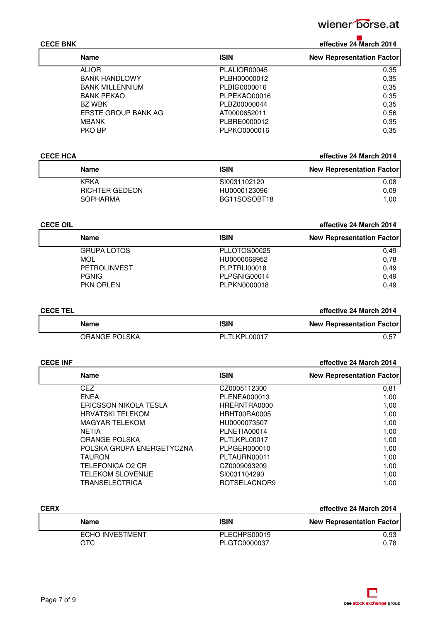

| <b>CECE BNK</b> | effective 24 March 2014 |
|-----------------|-------------------------|

| <b>Name</b>            | <b>ISIN</b>  | <b>New Representation Factor</b> |
|------------------------|--------------|----------------------------------|
| <b>ALIOR</b>           | PLALIOR00045 | 0,35                             |
| <b>BANK HANDLOWY</b>   | PLBH00000012 | 0,35                             |
| <b>BANK MILLENNIUM</b> | PLBIG0000016 | 0.35                             |
| <b>BANK PEKAO</b>      | PLPEKAO00016 | 0.35                             |
| <b>BZ WBK</b>          | PLBZ00000044 | 0,35                             |
| ERSTE GROUP BANK AG    | AT0000652011 | 0.56                             |
| <b>MBANK</b>           | PLBRE0000012 | 0.35                             |
| PKO BP                 | PLPKO0000016 | 0.35                             |

| <b>CECE HCA</b> |                       | effective 24 March 2014 |                                  |
|-----------------|-----------------------|-------------------------|----------------------------------|
|                 | Name                  | <b>ISIN</b>             | <b>New Representation Factor</b> |
|                 | <b>KRKA</b>           | SI0031102120            | 0.08                             |
|                 | <b>RICHTER GEDEON</b> | HU0000123096            | 0.09                             |
|                 | SOPHARMA              | BG11SOSOBT18            | 1.00                             |

### **CECE OIL effective 24 March 2014 Name ISIN ISIN New Representation Factor New Representation Factor** GRUPA LOTOS PLLOTOS00025 0,49 MOL 0,78 PETROLINVEST PLPTRLI00018 PLPTRLI00018 0,49<br>PGNIG PGNIG PLPGNIG00014 0,49 PGNIG PGNIG PLPGNIG00014 PKN ORLEN 20,49

### **CECE TEL effective 24 March 2014**

| Name          | ISIN         | <b>New Representation Factor</b> |
|---------------|--------------|----------------------------------|
| ORANGE POLSKA | PLTLKPL00017 | U.5.                             |

### **CECE INF effective 24 March 2014**

| <b>Name</b>                  | <b>ISIN</b>  | <b>New Representation Factor</b> |
|------------------------------|--------------|----------------------------------|
| CEZ.                         | CZ0005112300 | 0,81                             |
| <b>FNFA</b>                  | PLENEA000013 | 1,00                             |
| <b>ERICSSON NIKOLA TESLA</b> | HRERNTRA0000 | 1,00                             |
| <b>HRVATSKI TELEKOM</b>      | HRHT00RA0005 | 1,00                             |
| <b>MAGYAR TELEKOM</b>        | HU0000073507 | 1,00                             |
| <b>NETIA</b>                 | PLNETIA00014 | 1,00                             |
| <b>ORANGE POLSKA</b>         | PLTLKPL00017 | 1,00                             |
| POLSKA GRUPA ENERGETYCZNA    | PLPGER000010 | 1,00                             |
| TAURON                       | PLTAURN00011 | 1,00                             |
| TELEFONICA O2 CR             | CZ0009093209 | 1,00                             |
| <b>TELEKOM SLOVENIJE</b>     | SI0031104290 | 1,00                             |
| TRANSELECTRICA               | ROTSELACNOR9 | 1.00                             |

| <b>CERX</b> |                        |              | effective 24 March 2014          |  |
|-------------|------------------------|--------------|----------------------------------|--|
|             | Name                   | <b>ISIN</b>  | <b>New Representation Factor</b> |  |
|             | <b>ECHO INVESTMENT</b> | PLECHPS00019 | 0.93                             |  |
|             | GTC                    | PLGTC0000037 | 0.78                             |  |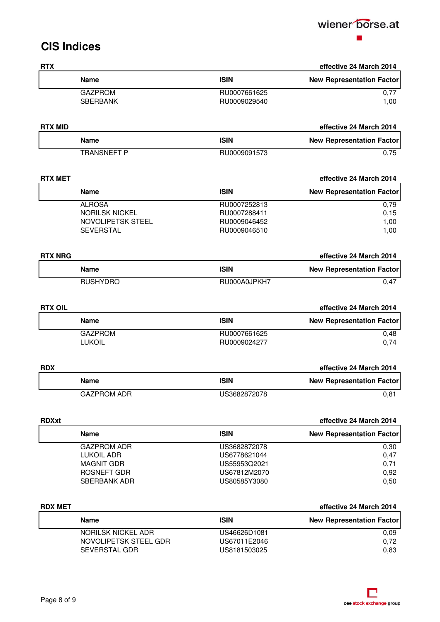

## **CIS Indices**

| <b>RTX</b>     |                                    |                              | effective 24 March 2014                                     |
|----------------|------------------------------------|------------------------------|-------------------------------------------------------------|
|                | <b>Name</b>                        | <b>ISIN</b>                  | <b>New Representation Factor</b>                            |
|                | <b>GAZPROM</b>                     | RU0007661625                 | 0,77                                                        |
|                | <b>SBERBANK</b>                    | RU0009029540                 | 1,00                                                        |
| <b>RTX MID</b> |                                    |                              | effective 24 March 2014                                     |
|                | <b>Name</b>                        | <b>ISIN</b>                  | <b>New Representation Factor</b>                            |
|                | <b>TRANSNEFT P</b>                 | RU0009091573                 | 0,75                                                        |
|                |                                    |                              |                                                             |
| <b>RTX MET</b> |                                    |                              | effective 24 March 2014                                     |
|                | <b>Name</b>                        | <b>ISIN</b>                  | <b>New Representation Factor</b>                            |
|                | <b>ALROSA</b>                      | RU0007252813                 | 0,79                                                        |
|                | <b>NORILSK NICKEL</b>              | RU0007288411                 | 0,15                                                        |
|                | NOVOLIPETSK STEEL                  | RU0009046452                 | 1,00                                                        |
|                | <b>SEVERSTAL</b>                   | RU0009046510                 | 1,00                                                        |
| <b>RTX NRG</b> |                                    |                              | effective 24 March 2014                                     |
|                | <b>Name</b>                        | <b>ISIN</b>                  | <b>New Representation Factor</b>                            |
|                | <b>RUSHYDRO</b>                    | RU000A0JPKH7                 | 0,47                                                        |
|                |                                    |                              |                                                             |
| <b>RTX OIL</b> | <b>Name</b>                        | <b>ISIN</b>                  | effective 24 March 2014<br><b>New Representation Factor</b> |
|                | <b>GAZPROM</b>                     | RU0007661625                 | 0,48                                                        |
|                | <b>LUKOIL</b>                      | RU0009024277                 | 0,74                                                        |
|                |                                    |                              |                                                             |
| <b>RDX</b>     |                                    |                              | effective 24 March 2014                                     |
|                | Name                               | <b>ISIN</b>                  | <b>New Representation Factor</b>                            |
|                | <b>GAZPROM ADR</b>                 | US3682872078                 | 0,81                                                        |
| <b>RDXxt</b>   |                                    |                              | effective 24 March 2014                                     |
|                | <b>Name</b>                        | <b>ISIN</b>                  | <b>New Representation Factor</b>                            |
|                | <b>GAZPROM ADR</b>                 | US3682872078                 | 0,30                                                        |
|                | <b>LUKOIL ADR</b>                  | US6778621044                 | 0,47                                                        |
|                | <b>MAGNIT GDR</b>                  | US55953Q2021                 | 0,71                                                        |
|                | ROSNEFT GDR<br><b>SBERBANK ADR</b> | US67812M2070<br>US80585Y3080 | 0,92                                                        |
|                |                                    |                              | 0,50                                                        |
| <b>RDX MET</b> |                                    |                              | effective 24 March 2014                                     |
|                | <b>Name</b>                        | <b>ISIN</b>                  | <b>New Representation Factor</b>                            |
|                | NORILSK NICKEL ADR                 | US46626D1081                 | 0,09                                                        |
|                | NOVOLIPETSK STEEL GDR              | US67011E2046                 | 0,72                                                        |
|                | SEVERSTAL GDR                      | US8181503025                 | 0,83                                                        |